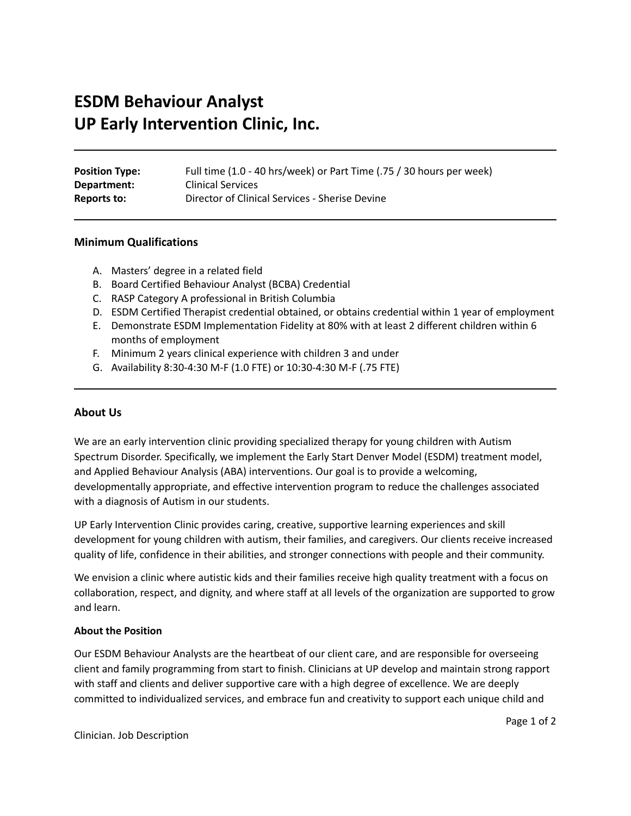# **ESDM Behaviour Analyst UP Early Intervention Clinic, Inc.**

| <b>Position Type:</b> | Full time (1.0 - 40 hrs/week) or Part Time (.75 / 30 hours per week) |
|-----------------------|----------------------------------------------------------------------|
| Department:           | <b>Clinical Services</b>                                             |
| Reports to:           | Director of Clinical Services - Sherise Devine                       |

#### **Minimum Qualifications**

- A. Masters' degree in a related field
- B. Board Certified Behaviour Analyst (BCBA) Credential
- C. RASP Category A professional in British Columbia
- D. ESDM Certified Therapist credential obtained, or obtains credential within 1 year of employment
- E. Demonstrate ESDM Implementation Fidelity at 80% with at least 2 different children within 6 months of employment
- F. Minimum 2 years clinical experience with children 3 and under
- G. Availability 8:30-4:30 M-F (1.0 FTE) or 10:30-4:30 M-F (.75 FTE)

# **About Us**

We are an early intervention clinic providing specialized therapy for young children with Autism Spectrum Disorder. Specifically, we implement the Early Start Denver Model (ESDM) treatment model, and Applied Behaviour Analysis (ABA) interventions. Our goal is to provide a welcoming, developmentally appropriate, and effective intervention program to reduce the challenges associated with a diagnosis of Autism in our students.

UP Early Intervention Clinic provides caring, creative, supportive learning experiences and skill development for young children with autism, their families, and caregivers. Our clients receive increased quality of life, confidence in their abilities, and stronger connections with people and their community.

We envision a clinic where autistic kids and their families receive high quality treatment with a focus on collaboration, respect, and dignity, and where staff at all levels of the organization are supported to grow and learn.

#### **About the Position**

Our ESDM Behaviour Analysts are the heartbeat of our client care, and are responsible for overseeing client and family programming from start to finish. Clinicians at UP develop and maintain strong rapport with staff and clients and deliver supportive care with a high degree of excellence. We are deeply committed to individualized services, and embrace fun and creativity to support each unique child and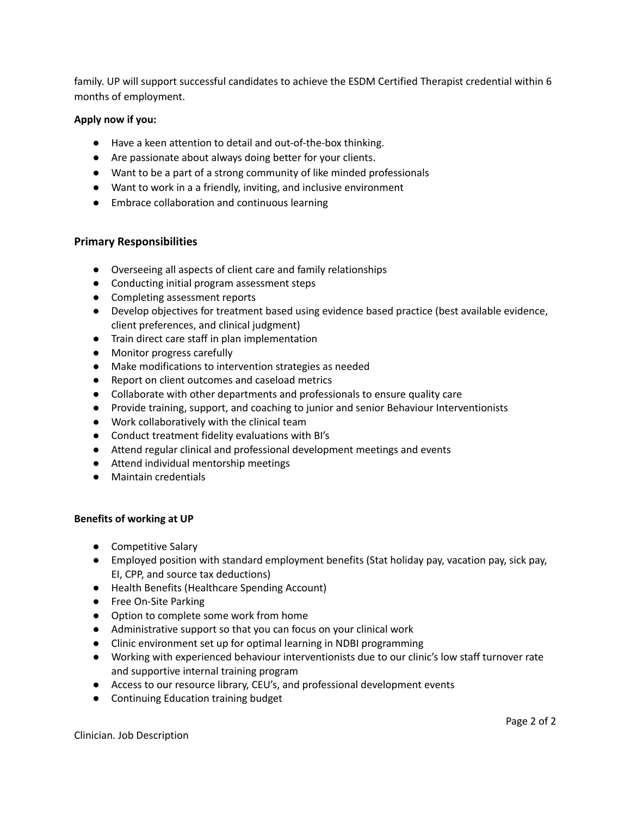family. UP will support successful candidates to achieve the ESDM Certified Therapist credential within 6 months of employment.

# **Apply now if you:**

- Have a keen attention to detail and out-of-the-box thinking.
- Are passionate about always doing better for your clients.
- Want to be a part of a strong community of like minded professionals
- Want to work in a a friendly, inviting, and inclusive environment
- Embrace collaboration and continuous learning

# **Primary Responsibilities**

- Overseeing all aspects of client care and family relationships
- Conducting initial program assessment steps
- Completing assessment reports
- Develop objectives for treatment based using evidence based practice (best available evidence, client preferences, and clinical judgment)
- Train direct care staff in plan implementation
- Monitor progress carefully
- Make modifications to intervention strategies as needed
- Report on client outcomes and caseload metrics
- Collaborate with other departments and professionals to ensure quality care
- Provide training, support, and coaching to junior and senior Behaviour Interventionists
- Work collaboratively with the clinical team
- Conduct treatment fidelity evaluations with BI's
- Attend regular clinical and professional development meetings and events
- Attend individual mentorship meetings
- Maintain credentials

# **Benefits of working at UP**

- Competitive Salary
- Employed position with standard employment benefits (Stat holiday pay, vacation pay, sick pay, EI, CPP, and source tax deductions)
- Health Benefits (Healthcare Spending Account)
- Free On-Site Parking
- Option to complete some work from home
- Administrative support so that you can focus on your clinical work
- Clinic environment set up for optimal learning in NDBI programming
- Working with experienced behaviour interventionists due to our clinic's low staff turnover rate and supportive internal training program
- Access to our resource library, CEU's, and professional development events
- Continuing Education training budget